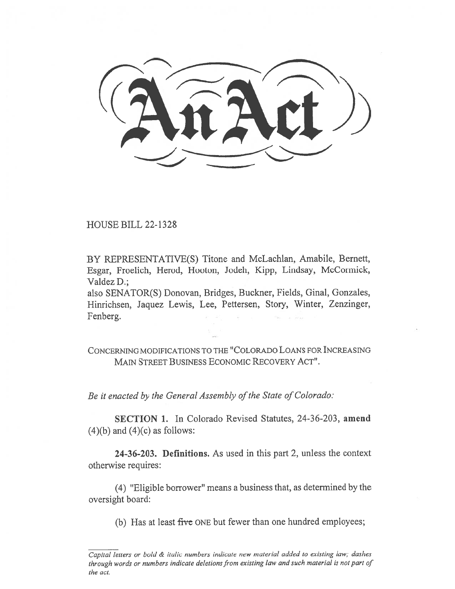inkic.t))  $\frac{1}{2}$ 

HOUSE BILL 22-1328

BY REPRESENTATIVE(S) Titone and McLachlan, Amabile, Bernett, Esgar, Froelich, Herod, Hooton, Jodeh, Kipp, Lindsay, McCormick, Valdez D.;

also SENATOR(S) Donovan, Bridges, Buckner, Fields, Ginal, Gonzales, Hinrichsen, Jaquez Lewis, Lee, Pettersen, Story, Winter, Zenzinger, Fenberg.

CONCERNING MODIFICATIONS TO THE "COLORADO LOANS FOR INCREASING MAIN STREET BUSINESS ECONOMIC RECOVERY ACT".

Be it enacted by the General Assembly of the State of Colorado:

SECTION 1. In Colorado Revised Statutes, 24-36-203, amend  $(4)(b)$  and  $(4)(c)$  as follows:

24-36-203. Definitions. As used in this part 2, unless the context otherwise requires:

(4) "Eligible borrower" means a business that, as determined by the oversight board:

(b) Has at least five ONE but fewer than one hundred employees;

Capital letters or bold & italic numbers indicate new material added to existing law; dashes through words or numbers indicate deletions from existing law and such material is not part of the act.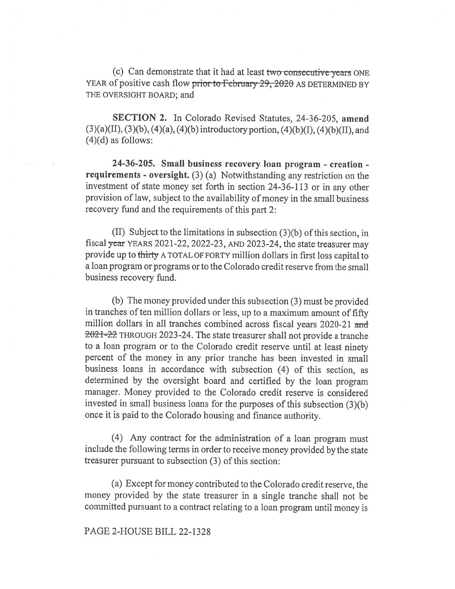(c) Can demonstrate that it had at least two consecutive years ONE YEAR of positive cash flow prior to February 29, 2020 AS DETERMINED BY THE OVERSIGHT BOARD; and

SECTION 2. In Colorado Revised Statutes, 24-36-205, amend  $(3)(a)(II), (3)(b), (4)(a), (4)(b)$  introductory portion,  $(4)(b)(I), (4)(b)(II),$  and  $(4)(d)$  as follows:

24-36-205. Small business recovery loan program - creation requirements - oversight. (3) (a) Notwithstanding any restriction on the investment of state money set forth in section 24-36-113 or in any other provision of law, subject to the availability of money in the small business recovery fund and the requirements of this part 2:

(II) Subject to the limitations in subsection (3)(b) of this section, in fiscal year YEARS 2021-22, 2022-23, AND 2023-24, the state treasurer may provide up to thirty A TOTAL OF FORTY million dollars in first loss capital to a loan program or programs or to the Colorado credit reserve from the small business recovery fund.

(b) The money provided under this subsection (3) must be provided in tranches of ten million dollars or less, up to a maximum amount of fifty million dollars in all tranches combined across fiscal years 2020-21 and 2021-22 THROUGH 2023-24. The state treasurer shall not provide a tranche to a loan program or to the Colorado credit reserve until at least ninety percent of the money in any prior tranche has been invested in small business loans in accordance with subsection (4) of this section, as determined by the oversight board and certified by the loan program manager. Money provided to the Colorado credit reserve is considered invested in small business loans for the purposes of this subsection (3)(b) once it is paid to the Colorado housing and finance authority.

(4) Any contract for the administration of a loan program must include the following terms in order to receive money provided by the state treasurer pursuant to subsection (3) of this section:

(a) Except for money contributed to the Colorado credit reserve, the money provided by the state treasurer in a single tranche shall not be committed pursuant to a contract relating to a loan program until money is

## PAGE 2-HOUSE BILL 22-1328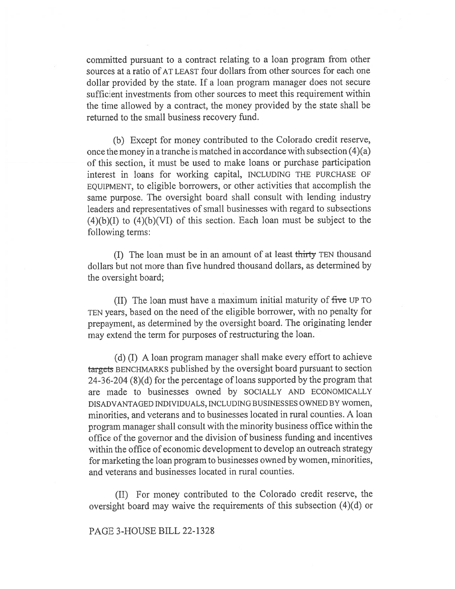committed pursuant to a contract relating to a loan program from other sources at a ratio of AT LEAST four dollars from other sources for each one dollar provided by the state. If a loan program manager does not secure sufficient investments from other sources to meet this requirement within the time allowed by a contract, the money provided by the state shall be returned to the small business recovery fund.

(b) Except for money contributed to the Colorado credit reserve, once the money in a tranche is matched in accordance with subsection (4)(a) of this section, it must be used to make loans or purchase participation interest in loans for working capital, INCLUDING THE PURCHASE OF EQUIPMENT, to eligible borrowers, or other activities that accomplish the same purpose. The oversight board shall consult with lending industry leaders and representatives of small businesses with regard to subsections  $(4)(b)(I)$  to  $(4)(b)(VI)$  of this section. Each loan must be subject to the following terms:

(I) The loan must be in an amount of at least thirty TEN thousand dollars but not more than five hundred thousand dollars, as determined by the oversight board;

(II) The loan must have a maximum initial maturity of five UP TO TEN years, based on the need of the eligible borrower, with no penalty for prepayment, as determined by the oversight board. The originating lender may extend the term for purposes of restructuring the loan.

(d) (I) A loan program manager shall make every effort to achieve targcts BENCHMARKS published by the oversight board pursuant to section 24-36-204 (8)(d) for the percentage of loans supported by the program that are made to businesses owned by SOCIALLY AND ECONOMICALLY DISADVANTAGED INDIVIDUALS, INCLUDING BUSINESSES OWNED BY women, minorities, and veterans and to businesses located in rural counties. A loan program manager shall consult with the minority business office within the office of the governor and the division of business funding and incentives within the office of economic development to develop an outreach strategy for marketing the loan program to businesses owned by women, minorities, and veterans and businesses located in rural counties.

(II) For money contributed to the Colorado credit reserve, the oversight board may waive the requirements of this subsection (4)(d) or

## PAGE 3-HOUSE BILL 22-1328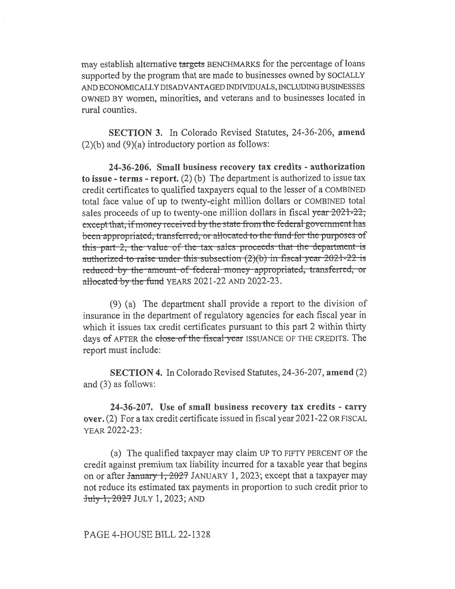may establish alternative targets BENCHMARKS for the percentage of loans supported by the program that are made to businesses owned by SOCIALLY AND ECONOMICALLY DISADVANTAGED INDIVIDUALS, INCLUDING BUSINESSES OWNED BY women, minorities, and veterans and to businesses located in rural counties.

SECTION 3. In Colorado Revised Statutes, 24-36-206, amend  $(2)(b)$  and  $(9)(a)$  introductory portion as follows:

24-36-206. Small business recovery tax credits - authorization to issue - terms - report. (2) (b) The department is authorized to issue tax credit certificates to qualified taxpayers equal to the lesser of a COMBINED total face value of up to twenty-eight million dollars or COMBINED total sales proceeds of up to twenty-one million dollars in fiscal  $\frac{\pi}{32}$  = 2021-22; cxcept that, if money received by the state from the federal government has been appropriated, transferred, or allocated to the fund for the purposes of this part-2, the value of the tax sales proceeds that the department is authorized to raise under this subsection  $(2)(b)$  in fiscal year 2021-22 is reduced-by the amount of federal money appropriated, transferred, or allocated by the fund YEARS 2021-22 AND 2022-23.

(9) (a) The department shall provide a report to the division of insurance in the department of regulatory agencies for each fiscal year in which it issues tax credit certificates pursuant to this part 2 within thirty days of AFTER the close of the fiscal year ISSUANCE OF THE CREDITS. The report must include:

SECTION 4. In Colorado Revised Statutes, 24-36-207, amend (2) and (3) as follows:

24-36-207. Use of small business recovery tax credits - carry over. (2) For a tax credit certificate issued in fiscal year 2021-22 OR FISCAL YEAR 2022-23:

(a) The qualified taxpayer may claim UP TO FIFTY PERCENT OF the credit against premium tax liability incurred for a taxable year that begins on or after January 1, 2027 JANUARY 1, 2023; except that a taxpayer may not reduce its estimated tax payments in proportion to such credit prior to July 1, 2027 JULY 1, 2023; AND

## PAGE 4-HOUSE BILL 22-1328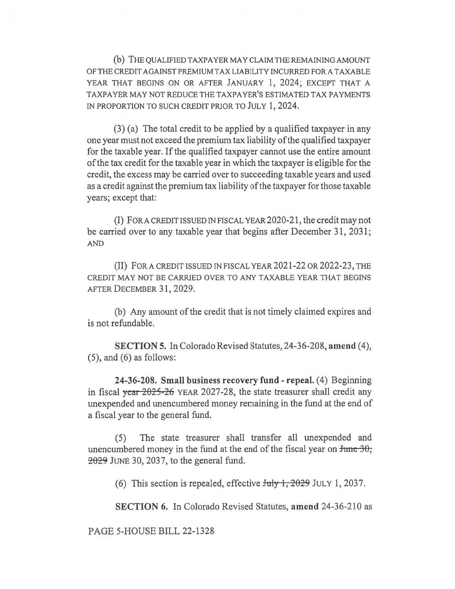(b) THE QUALIFIED TAXPAYER MAY CLAIM THE REMAINING AMOUNT OF THE CREDIT AGAINST PREMIUM TAX LIABILITY INCURRED FOR A TAXABLE YEAR THAT BEGINS ON OR AFTER JANUARY 1, 2024; EXCEPT THAT A TAXPAYER MAY NOT REDUCE THE TAXPAYER'S ESTIMATED TAX PAYMENTS IN PROPORTION TO SUCH CREDIT PRIOR TO JULY 1, 2024.

(3) (a) The total credit to be applied by a qualified taxpayer in any one year must not exceed the premium tax liability of the qualified taxpayer for the taxable year. If the qualified taxpayer cannot use the entire amount of the tax credit for the taxable year in which the taxpayer is eligible for the credit, the excess may be carried over to succeeding taxable years and used as a credit against the premium tax liability of the taxpayer for those taxable years; except that:

(I) FORA CREDIT ISSUED IN FISCAL YEAR 2020-21, the credit may not be carried over to any taxable year that begins after December 31, 2031; AND

(II) FOR A CREDIT ISSUED IN FISCAL YEAR 2021-22 OR 2022-23, THE CREDIT MAY NOT BE CARRIED OVER TO ANY TAXABLE YEAR THAT BEGINS AFTER DECEMBER 31, 2029.

(b) Any amount of the credit that is not timely claimed expires and is not refundable.

SECTION 5. In Colorado Revised Statutes, 24-36-208, amend (4),  $(5)$ , and  $(6)$  as follows:

24-36-208. Small business recovery fund - repeal. (4) Beginning in fiscal year 2025-26 YEAR 2027-28, the state treasurer shall credit any unexpended and unencumbered money remaining in the fund at the end of a fiscal year to the general fund.

(5) The state treasurer shall transfer all unexpended and unencumbered money in the fund at the end of the fiscal year on  $\frac{\text{June } 30}{\text{rule}}$  $2029$  JUNE 30, 2037, to the general fund.

(6) This section is repealed, effective  $J_{\text{uly}}$  1, 2029 JULY 1, 2037.

SECTION 6. In Colorado Revised Statutes, amend 24-36-210 as

PAGE 5-HOUSE BILL 22-1328